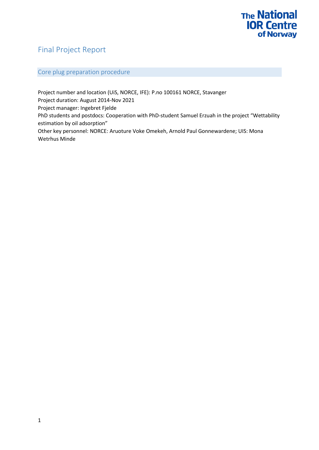### Final Project Report

### Core plug preparation procedure

Project number and location (UiS, NORCE, IFE): P.no 100161 NORCE, Stavanger Project duration: August 2014-Nov 2021 Project manager: Ingebret Fjelde PhD students and postdocs: Cooperation with PhD-student Samuel Erzuah in the project "Wettability estimation by oil adsorption" Other key personnel: NORCE: Aruoture Voke Omekeh, Arnold Paul Gonnewardene; UIS: Mona Wetrhus Minde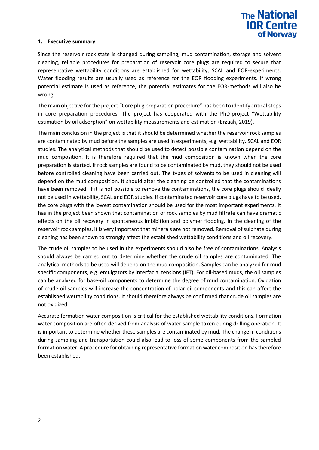

### **1. Executive summary**

Since the reservoir rock state is changed during sampling, mud contamination, storage and solvent cleaning, reliable procedures for preparation of reservoir core plugs are required to secure that representative wettability conditions are established for wettability, SCAL and EOR-experiments. Water flooding results are usually used as reference for the EOR flooding experiments. If wrong potential estimate is used as reference, the potential estimates for the EOR-methods will also be wrong.

The main objective for the project "Core plug preparation procedure" has been to identify critical steps in core preparation procedures. The project has cooperated with the PhD-project "Wettability estimation by oil adsorption" on wettability measurements and estimation (Erzuah, 2019).

The main conclusion in the project is that it should be determined whether the reservoir rock samples are contaminated by mud before the samples are used in experiments, e.g. wettability, SCAL and EOR studies. The analytical methods that should be used to detect possible contamination depend on the mud composition. It is therefore required that the mud composition is known when the core preparation is started. If rock samples are found to be contaminated by mud, they should not be used before controlled cleaning have been carried out. The types of solvents to be used in cleaning will depend on the mud composition. It should after the cleaning be controlled that the contaminations have been removed. If it is not possible to remove the contaminations, the core plugs should ideally not be used in wettability, SCAL and EOR studies. If contaminated reservoir core plugs have to be used, the core plugs with the lowest contamination should be used for the most important experiments. It has in the project been shown that contamination of rock samples by mud filtrate can have dramatic effects on the oil recovery in spontaneous imbibition and polymer flooding. In the cleaning of the reservoir rock samples, it is very important that minerals are not removed. Removal of sulphate during cleaning has been shown to strongly affect the established wettability conditions and oil recovery.

The crude oil samples to be used in the experiments should also be free of contaminations. Analysis should always be carried out to determine whether the crude oil samples are contaminated. The analytical methods to be used will depend on the mud composition. Samples can be analyzed for mud specific components, e.g. emulgators by interfacial tensions (IFT). For oil-based muds, the oil samples can be analyzed for base-oil components to determine the degree of mud contamination. Oxidation of crude oil samples will increase the concentration of polar oil components and this can affect the established wettability conditions. It should therefore always be confirmed that crude oil samples are not oxidized.

Accurate formation water composition is critical for the established wettability conditions. Formation water composition are often derived from analysis of water sample taken during drilling operation. It is important to determine whether these samples are contaminated by mud. The change in conditions during sampling and transportation could also lead to loss of some components from the sampled formation water. A procedure for obtaining representative formation water composition has therefore been established.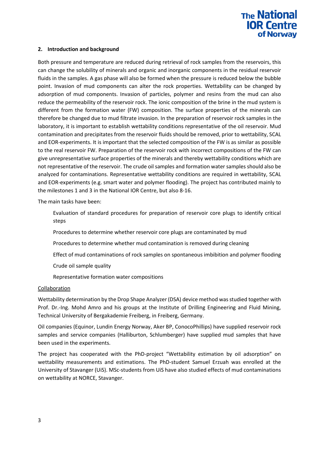

#### **2. Introduction and background**

Both pressure and temperature are reduced during retrieval of rock samples from the reservoirs, this can change the solubility of minerals and organic and inorganic components in the residual reservoir fluids in the samples. A gas phase will also be formed when the pressure is reduced below the bubble point. Invasion of mud components can alter the rock properties. Wettability can be changed by adsorption of mud components. Invasion of particles, polymer and resins from the mud can also reduce the permeability of the reservoir rock. The ionic composition of the brine in the mud system is different from the formation water (FW) composition. The surface properties of the minerals can therefore be changed due to mud filtrate invasion. In the preparation of reservoir rock samples in the laboratory, it is important to establish wettability conditions representative of the oil reservoir. Mud contamination and precipitates from the reservoir fluids should be removed, prior to wettability, SCAL and EOR-experiments. It is important that the selected composition of the FW is as similar as possible to the real reservoir FW. Preparation of the reservoir rock with incorrect compositions of the FW can give unrepresentative surface properties of the minerals and thereby wettability conditions which are not representative of the reservoir. The crude oil samples and formation water samples should also be analyzed for contaminations. Representative wettability conditions are required in wettability, SCAL and EOR-experiments (e.g. smart water and polymer flooding). The project has contributed mainly to the milestones 1 and 3 in the National IOR Centre, but also 8-16.

The main tasks have been:

- Evaluation of standard procedures for preparation of reservoir core plugs to identify critical steps
- Procedures to determine whether reservoir core plugs are contaminated by mud
- Procedures to determine whether mud contamination is removed during cleaning
- Effect of mud contaminations of rock samples on spontaneous imbibition and polymer flooding
- Crude oil sample quality
- Representative formation water compositions

#### **Collaboration**

Wettability determination by the Drop Shape Analyzer (DSA) device method was studied together with Prof. Dr.-Ing. Mohd Amro and his groups at the Institute of Drilling Engineering and Fluid Mining, Technical University of Bergakademie Freiberg, in Freiberg, Germany.

Oil companies (Equinor, Lundin Energy Norway, Aker BP, ConocoPhillips) have supplied reservoir rock samples and service companies (Halliburton, Schlumberger) have supplied mud samples that have been used in the experiments.

The project has cooperated with the PhD-project "Wettability estimation by oil adsorption" on wettability measurements and estimations. The PhD-student Samuel Erzuah was enrolled at the University of Stavanger (UiS). MSc-students from UiS have also studied effects of mud contaminations on wettability at NORCE, Stavanger.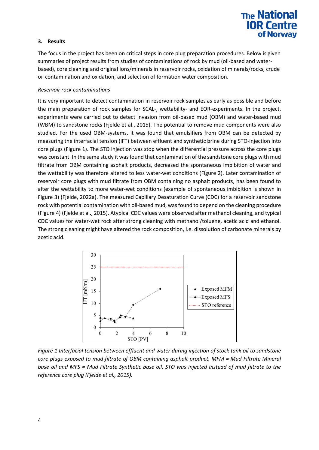### **3. Results**

The focus in the project has been on critical steps in core plug preparation procedures. Below is given summaries of project results from studies of contaminations of rock by mud (oil-based and waterbased), core cleaning and original ions/minerals in reservoir rocks, oxidation of minerals/rocks, crude oil contamination and oxidation, and selection of formation water composition.

### *Reservoir rock contaminations*

It is very important to detect contamination in reservoir rock samples as early as possible and before the main preparation of rock samples for SCAL-, wettability- and EOR-experiments. In the project, experiments were carried out to detect invasion from oil-based mud (OBM) and water-based mud (WBM) to sandstone rocks (Fjelde et al., 2015). The potential to remove mud components were also studied. For the used OBM-systems, it was found that emulsifiers from OBM can be detected by measuring the interfacial tension (IFT) between effluent and synthetic brine during STO-injection into core plugs [\(Figure 1\)](#page-3-0). The STO injection was stop when the differential pressure across the core plugs was constant. In the same study it was found that contamination of the sandstone core plugs with mud filtrate from OBM containing asphalt products, decreased the spontaneous imbibition of water and the wettability was therefore altered to less water-wet conditions [\(Figure 2\)](#page-4-0). Later contamination of reservoir core plugs with mud filtrate from OBM containing no asphalt products, has been found to alter the wettability to more water-wet conditions (example of spontaneous imbibition is shown in [Figure 3\)](#page-4-1) (Fjelde, 2022a). The measured Capillary Desaturation Curve (CDC) for a reservoir sandstone rock with potential contamination with oil-based mud, was found to depend on the cleaning procedure [\(Figure 4\)](#page-4-2) (Fjelde et al., 2015). Atypical CDC values were observed after methanol cleaning, and typical CDC values for water-wet rock after strong cleaning with methanol/toluene, acetic acid and ethanol. The strong cleaning might have altered the rock composition, i.e. dissolution of carbonate minerals by acetic acid.



<span id="page-3-0"></span>*Figure 1 Interfacial tension between effluent and water during injection of stock tank oil to sandstone core plugs exposed to mud filtrate of OBM containing asphalt product, MFM = Mud Filtrate Mineral base oil and MFS = Mud Filtrate Synthetic base oil. STO was injected instead of mud filtrate to the reference core plug (Fjelde et al., 2015).*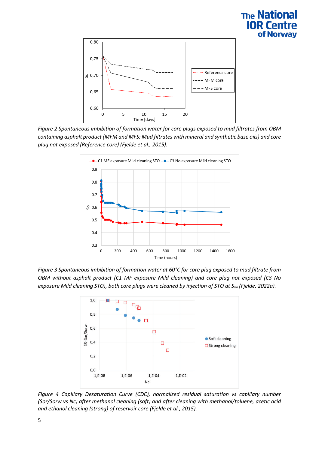

<span id="page-4-0"></span>*Figure 2 Spontaneous imbibition of formation water for core plugs exposed to mud filtrates from OBM containing asphalt product (MFM and MFS: Mud filtrates with mineral and synthetic base oils) and core plug not exposed (Reference core) (Fjelde et al., 2015).*



<span id="page-4-1"></span>*Figure 3 Spontaneous imbibition of formation water at 60°C for core plug exposed to mud filtrate from OBM without asphalt product (C1 MF exposure Mild cleaning) and core plug not exposed (C3 No exposure Mild cleaning STO), both core plugs were cleaned by injection of STO at Swi (Fjelde, 2022a).*



<span id="page-4-2"></span>*Figure 4 Capillary Desaturation Curve (CDC), normalized residual saturation vs capillary number (Sor/Sorw vs Nc) after methanol cleaning (soft) and after cleaning with methanol/toluene, acetic acid and ethanol cleaning (strong) of reservoir core (Fjelde et al., 2015).*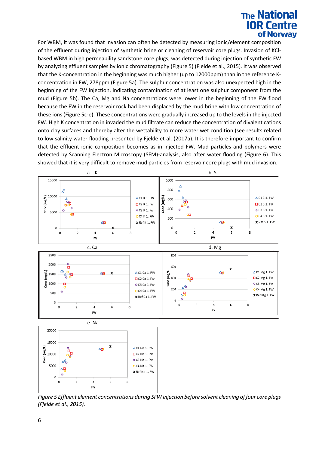For WBM, it was found that invasion can often be detected by measuring ionic/element composition of the effluent during injection of synthetic brine or cleaning of reservoir core plugs. Invasion of KClbased WBM in high permeability sandstone core plugs, was detected during injection of synthetic FW by analyzing effluent samples by ionic chromatography [\(Figure 5\)](#page-5-0) (Fjelde et al., 2015). It was observed that the K-concentration in the beginning was much higher (up to 12000ppm) than in the reference Kconcentration in FW, 278ppm [\(Figure 5a](#page-5-0)). The sulphur concentration was also unexpected high in the beginning of the FW injection, indicating contamination of at least one sulphur component from the mud [\(Figure 5b](#page-5-0)). The Ca, Mg and Na concentrations were lower in the beginning of the FW flood because the FW in the reservoir rock had been displaced by the mud brine with low concentration of these ions [\(Figure 5c](#page-5-0)-e). These concentrations were gradually increased up to the levels in the injected FW. High K concentration in invaded the mud filtrate can reduce the concentration of divalent cations onto clay surfaces and thereby alter the wettability to more water wet condition (see results related to low salinity water flooding presented by Fjelde et al. (2017a). It is therefore important to confirm that the effluent ionic composition becomes as in injected FW. Mud particles and polymers were detected by Scanning Electron Microscopy (SEM)-analysis, also after water flooding (Figure 6). This showed that it is very difficult to remove mud particles from reservoir core plugs with mud invasion.



<span id="page-5-0"></span>*Figure 5 Effluent element concentrations during SFW injection before solvent cleaning of four core plugs (Fjelde et al., 2015).*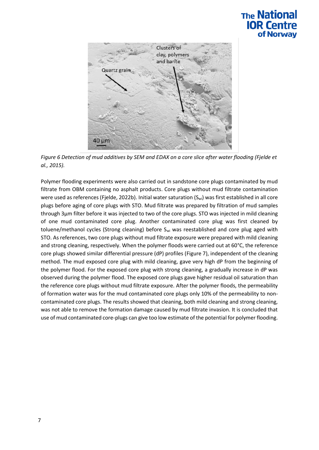

*Figure 6 Detection of mud additives by SEM and EDAX on a core slice after water flooding (Fjelde et al., 2015).*

Polymer flooding experiments were also carried out in sandstone core plugs contaminated by mud filtrate from OBM containing no asphalt products. Core plugs without mud filtrate contamination were used as references (Fjelde, 2022b). Initial water saturation (S<sub>wi</sub>) was first established in all core plugs before aging of core plugs with STO. Mud filtrate was prepared by filtration of mud samples through 3µm filter before it was injected to two of the core plugs. STO was injected in mild cleaning of one mud contaminated core plug. Another contaminated core plug was first cleaned by toluene/methanol cycles (Strong cleaning) before S<sub>wi</sub> was reestablished and core plug aged with STO. As references, two core plugs without mud filtrate exposure were prepared with mild cleaning and strong cleaning, respectively. When the polymer floods were carried out at 60°C, the reference core plugs showed similar differential pressure (dP) profiles [\(Figure 7\)](#page-7-0), independent of the cleaning method. The mud exposed core plug with mild cleaning, gave very high dP from the beginning of the polymer flood. For the exposed core plug with strong cleaning, a gradually increase in dP was observed during the polymer flood. The exposed core plugs gave higher residual oil saturation than the reference core plugs without mud filtrate exposure. After the polymer floods, the permeability of formation water was for the mud contaminated core plugs only 10% of the permeability to noncontaminated core plugs. The results showed that cleaning, both mild cleaning and strong cleaning, was not able to remove the formation damage caused by mud filtrate invasion. It is concluded that use of mud contaminated core-plugs can give too low estimate of the potential for polymer flooding.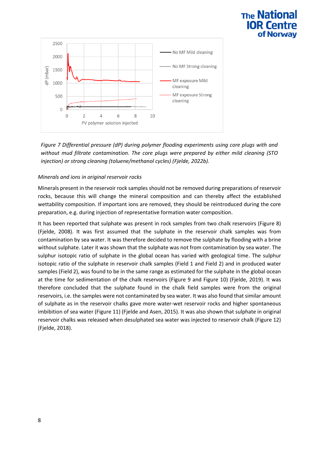

<span id="page-7-0"></span>*Figure 7 Differential pressure (dP) during polymer flooding experiments using core plugs with and without mud filtrate contamination. The core plugs were prepared by either mild cleaning (STO injection) or strong cleaning (toluene/methanol cycles) (Fjelde, 2022b).*

### *Minerals and ions in original reservoir rocks*

Minerals present in the reservoir rock samples should not be removed during preparations of reservoir rocks, because this will change the mineral composition and can thereby affect the established wettability composition. If important ions are removed, they should be reintroduced during the core preparation, e.g. during injection of representative formation water composition.

It has been reported that sulphate was present in rock samples from two chalk reservoirs [\(Figure 8\)](#page-8-0) (Fjelde, 2008). It was first assumed that the sulphate in the reservoir chalk samples was from contamination by sea water. It was therefore decided to remove the sulphate by flooding with a brine without sulphate. Later it was shown that the sulphate was not from contamination by sea water. The sulphur isotopic ratio of sulphate in the global ocean has varied with geological time. The sulphur isotopic ratio of the sulphate in reservoir chalk samples (Field 1 and Field 2) and in produced water samples (Field 2), was found to be in the same range as estimated for the sulphate in the global ocean at the time for sedimentation of the chalk reservoirs [\(Figure 9](#page-8-1) and [Figure 10\)](#page-9-0) (Fjelde, 2019). It was therefore concluded that the sulphate found in the chalk field samples were from the original reservoirs, i.e. the samples were not contaminated by sea water. It was also found that similar amount of sulphate as in the reservoir chalks gave more water-wet reservoir rocks and higher spontaneous imbibition of sea water [\(Figure 11\)](#page-9-1) (Fjelde and Asen, 2015). It was also shown that sulphate in original reservoir chalks was released when desulphated sea water was injected to reservoir chalk [\(Figure 12\)](#page-9-2) (Fjelde, 2018).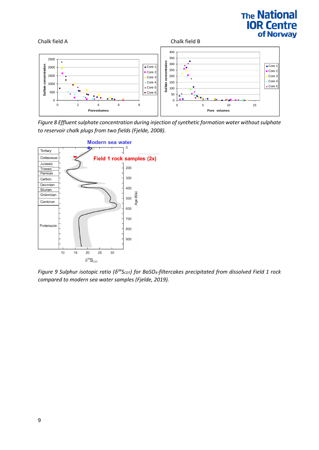

<span id="page-8-0"></span>*Figure 8 Effluent sulphate concentration during injection of synthetic formation water without sulphate to reservoir chalk plugs from two fields (Fjelde, 2008).*



<span id="page-8-1"></span>*Figure 9 Sulphur isotopic ratio (δ<sup>34</sup>S<sub>CDT</sub>) for BaSO<sub>4</sub>-filtercakes precipitated from dissolved Field 1 rock compared to modern sea water samples (Fjelde, 2019).*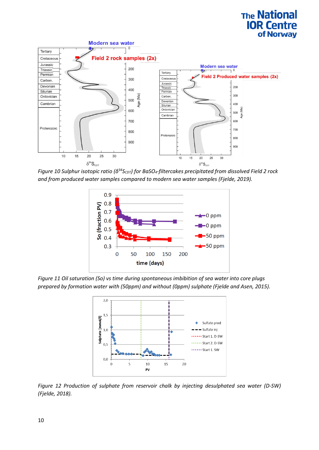

<span id="page-9-0"></span>*Figure 10 Sulphur isotopic ratio (δ <sup>34</sup>SCDT) for BaSO4-filtercakes precipitated from dissolved Field 2 rock and from produced water samples compared to modern sea water samples (Fjelde, 2019).*



<span id="page-9-1"></span>*Figure 11 Oil saturation (So) vs time during spontaneous imbibition of sea water into core plugs prepared by formation water with (50ppm) and without (0ppm) sulphate (Fjelde and Asen, 2015).* 



<span id="page-9-2"></span>*Figure 12 Production of sulphate from reservoir chalk by injecting desulphated sea water (D-SW) (Fjelde, 2018).*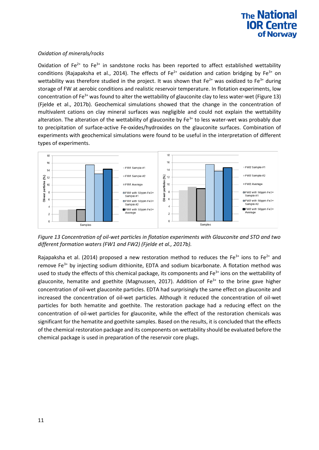### *Oxidation of minerals/rocks*

Oxidation of  $Fe^{2+}$  to  $Fe^{3+}$  in sandstone rocks has been reported to affect established wettability conditions (Rajapaksha et al., 2014). The effects of  $Fe^{2+}$  oxidation and cation bridging by  $Fe^{3+}$  on wettability was therefore studied in the project. It was shown that  $Fe^{2+}$  was oxidized to  $Fe^{3+}$  during storage of FW at aerobic conditions and realistic reservoir temperature. In flotation experiments, low concentration of Fe<sup>3+</sup> was found to alter the wettability of glauconite clay to less water-wet [\(Figure 13\)](#page-10-0) (Fjelde et al., 2017b). Geochemical simulations showed that the change in the concentration of multivalent cations on clay mineral surfaces was negligible and could not explain the wettability alteration. The alteration of the wettability of glauconite by  $Fe<sup>3+</sup>$  to less water-wet was probably due to precipitation of surface-active Fe-oxides/hydroxides on the glauconite surfaces. Combination of experiments with geochemical simulations were found to be useful in the interpretation of different types of experiments.



<span id="page-10-0"></span>*Figure 13 Concentration of oil-wet particles in flotation experiments with Glauconite and STO and two different formation waters (FW1 and FW2) (Fjelde et al., 2017b).*

Rajapaksha et al. (2014) proposed a new restoration method to reduces the Fe<sup>3+</sup> ions to Fe<sup>2+</sup> and remove  $Fe<sup>3+</sup>$  by injecting sodium dithionite, EDTA and sodium bicarbonate. A flotation method was used to study the effects of this chemical package, its components and Fe<sup>3+</sup> ions on the wettability of glauconite, hematite and goethite (Magnussen, 2017). Addition of  $Fe<sup>3+</sup>$  to the brine gave higher concentration of oil-wet glauconite particles. EDTA had surprisingly the same effect on glauconite and increased the concentration of oil-wet particles. Although it reduced the concentration of oil-wet particles for both hematite and goethite. The restoration package had a reducing effect on the concentration of oil-wet particles for glauconite, while the effect of the restoration chemicals was significant for the hematite and goethite samples. Based on the results, it is concluded that the effects of the chemical restoration package and its components on wettability should be evaluated before the chemical package is used in preparation of the reservoir core plugs.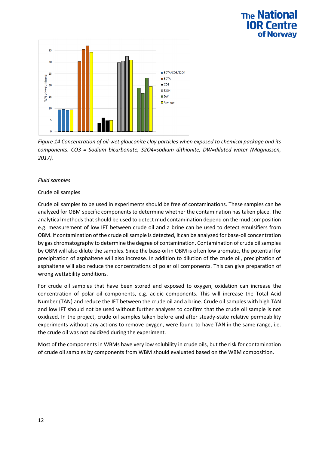

*Figure 14 Concentration of oil-wet glauconite clay particles when exposed to chemical package and its components. CO3 = Sodium bicarbonate, S2O4=sodium dithionite, DW=diluted water (Magnussen, 2017).*

### *Fluid samples*

### Crude oil samples

Crude oil samples to be used in experiments should be free of contaminations. These samples can be analyzed for OBM specific components to determine whether the contamination has taken place. The analytical methods that should be used to detect mud contamination depend on the mud composition e.g. measurement of low IFT between crude oil and a brine can be used to detect emulsifiers from OBM. If contamination of the crude oil sample is detected, it can be analyzed for base-oil concentration by gas chromatography to determine the degree of contamination. Contamination of crude oil samples by OBM will also dilute the samples. Since the base-oil in OBM is often low aromatic, the potential for precipitation of asphaltene will also increase. In addition to dilution of the crude oil, precipitation of asphaltene will also reduce the concentrations of polar oil components. This can give preparation of wrong wettability conditions.

For crude oil samples that have been stored and exposed to oxygen, oxidation can increase the concentration of polar oil components, e.g. acidic components. This will increase the Total Acid Number (TAN) and reduce the IFT between the crude oil and a brine. Crude oil samples with high TAN and low IFT should not be used without further analyses to confirm that the crude oil sample is not oxidized. In the project, crude oil samples taken before and after steady-state relative permeability experiments without any actions to remove oxygen, were found to have TAN in the same range, i.e. the crude oil was not oxidized during the experiment.

Most of the components in WBMs have very low solubility in crude oils, but the risk for contamination of crude oil samples by components from WBM should evaluated based on the WBM composition.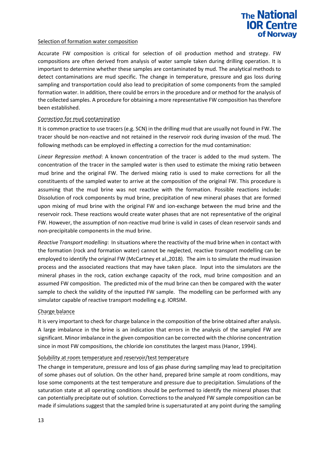

### Selection of formation water composition

Accurate FW composition is critical for selection of oil production method and strategy. FW compositions are often derived from analysis of water sample taken during drilling operation. It is important to determine whether these samples are contaminated by mud. The analytical methods to detect contaminations are mud specific. The change in temperature, pressure and gas loss during sampling and transportation could also lead to precipitation of some components from the sampled formation water. In addition, there could be errors in the procedure and or method for the analysis of the collected samples. A procedure for obtaining a more representative FW composition has therefore been established.

### Correction for mud contamination

It is common practice to use tracers (e.g. SCN) in the drilling mud that are usually not found in FW. The tracer should be non-reactive and not retained in the reservoir rock during invasion of the mud. The following methods can be employed in effecting a correction for the mud contamination:

*Linear Regression method*: A known concentration of the tracer is added to the mud system. The concentration of the tracer in the sampled water is then used to estimate the mixing ratio between mud brine and the original FW. The derived mixing ratio is used to make corrections for all the constituents of the sampled water to arrive at the composition of the original FW. This procedure is assuming that the mud brine was not reactive with the formation. Possible reactions include: Dissolution of rock components by mud brine, precipitation of new mineral phases that are formed upon mixing of mud brine with the original FW and ion-exchange between the mud brine and the reservoir rock. These reactions would create water phases that are not representative of the original FW. However, the assumption of non-reactive mud brine is valid in cases of clean reservoir sands and non-precipitable components in the mud brine.

*Reactive Transport modelling*: In situations where the reactivity of the mud brine when in contact with the formation (rock and formation water) cannot be neglected, reactive transport modelling can be employed to identify the original FW (McCartney et al.,2018). The aim is to simulate the mud invasion process and the associated reactions that may have taken place. Input into the simulators are the mineral phases in the rock, cation exchange capacity of the rock, mud brine composition and an assumed FW composition. The predicted mix of the mud brine can then be compared with the water sample to check the validity of the inputted FW sample. The modelling can be performed with any simulator capable of reactive transport modelling e.g. IORSIM.

#### Charge balance

It is very important to check for charge balance in the composition of the brine obtained after analysis. A large imbalance in the brine is an indication that errors in the analysis of the sampled FW are significant. Minor imbalance in the given composition can be corrected with the chlorine concentration since in most FW compositions, the chloride ion constitutes the largest mass (Hanor, 1994).

#### Solubility at room temperature and reservoir/test temperature

The change in temperature, pressure and loss of gas phase during sampling may lead to precipitation of some phases out of solution. On the other hand, prepared brine sample at room conditions, may lose some components at the test temperature and pressure due to precipitation. Simulations of the saturation state at all operating conditions should be performed to identify the mineral phases that can potentially precipitate out of solution. Corrections to the analyzed FW sample composition can be made if simulations suggest that the sampled brine is supersaturated at any point during the sampling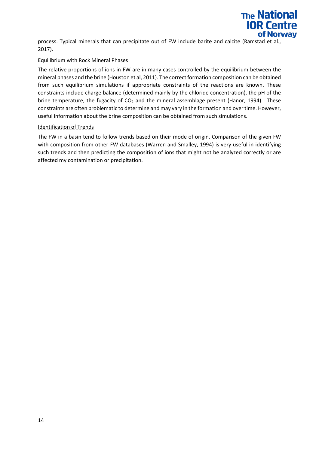

process. Typical minerals that can precipitate out of FW include barite and calcite (Ramstad et al., 2017).

### Equilibrium with Rock Mineral Phases

The relative proportions of ions in FW are in many cases controlled by the equilibrium between the mineral phases and the brine (Houston et al, 2011). The correct formation composition can be obtained from such equilibrium simulations if appropriate constraints of the reactions are known. These constraints include charge balance (determined mainly by the chloride concentration), the pH of the brine temperature, the fugacity of  $CO<sub>2</sub>$  and the mineral assemblage present (Hanor, 1994). These constraints are often problematic to determine and may vary in the formation and over time. However, useful information about the brine composition can be obtained from such simulations.

#### Identification of Trends

The FW in a basin tend to follow trends based on their mode of origin. Comparison of the given FW with composition from other FW databases (Warren and Smalley, 1994) is very useful in identifying such trends and then predicting the composition of ions that might not be analyzed correctly or are affected my contamination or precipitation.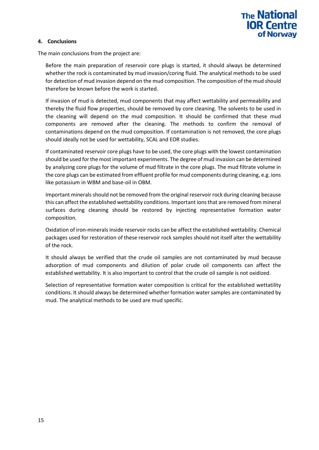

### **4. Conclusions**

The main conclusions from the project are:

Before the main preparation of reservoir core plugs is started, it should always be determined whether the rock is contaminated by mud invasion/coring fluid. The analytical methods to be used for detection of mud invasion depend on the mud composition. The composition of the mud should therefore be known before the work is started.

If invasion of mud is detected, mud components that may affect wettability and permeability and thereby the fluid flow properties, should be removed by core cleaning. The solvents to be used in the cleaning will depend on the mud composition. It should be confirmed that these mud components are removed after the cleaning. The methods to confirm the removal of contaminations depend on the mud composition. If contamination is not removed, the core plugs should ideally not be used for wettability, SCAL and EOR studies.

If contaminated reservoir core plugs have to be used, the core plugs with the lowest contamination should be used for the most important experiments. The degree of mud invasion can be determined by analyzing core plugs for the volume of mud filtrate in the core plugs. The mud filtrate volume in the core plugs can be estimated from effluent profile for mud components during cleaning, e.g. ions like potassium in WBM and base-oil in OBM.

Important minerals should not be removed from the original reservoir rock during cleaning because this can affect the established wettability conditions. Important ions that are removed from mineral surfaces during cleaning should be restored by injecting representative formation water composition.

Oxidation of iron-minerals inside reservoir rocks can be affect the established wettability. Chemical packages used for restoration of these reservoir rock samples should not itself alter the wettability of the rock.

It should always be verified that the crude oil samples are not contaminated by mud because adsorption of mud components and dilution of polar crude oil components can affect the established wettability. It is also important to control that the crude oil sample is not oxidized.

Selection of representative formation water composition is critical for the established wettatility conditions. It should always be determined whether formation water samples are contaminated by mud. The analytical methods to be used are mud specific.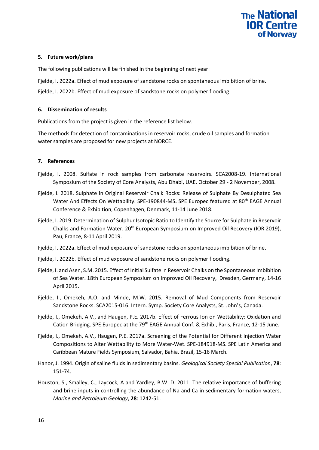### **5. Future work/plans**

The following publications will be finished in the beginning of next year:

Fjelde, I. 2022a. Effect of mud exposure of sandstone rocks on spontaneous imbibition of brine.

Fjelde, I. 2022b. Effect of mud exposure of sandstone rocks on polymer flooding.

### **6. Dissemination of results**

Publications from the project is given in the reference list below.

The methods for detection of contaminations in reservoir rocks, crude oil samples and formation water samples are proposed for new projects at NORCE.

### **7. References**

- Fjelde, I. 2008. Sulfate in rock samples from carbonate reservoirs. SCA2008-19. International Symposium of the Society of Core Analysts, Abu Dhabi, UAE. October 29 - 2 November, 2008.
- Fjelde, I. 2018. Sulphate in Original Reservoir Chalk Rocks: Release of Sulphate By Desulphated Sea Water And Effects On Wettability. SPE-190844-MS. SPE Europec featured at 80<sup>th</sup> EAGE Annual Conference & Exhibition, Copenhagen, Denmark, 11-14 June 2018.
- Fjelde, I. 2019. Determination of Sulphur Isotopic Ratio to Identify the Source for Sulphate in Reservoir Chalks and Formation Water. 20<sup>th</sup> European Symposium on Improved Oil Recovery (IOR 2019), Pau, France, 8-11 April 2019.
- Fjelde, I. 2022a. Effect of mud exposure of sandstone rocks on spontaneous imbibition of brine.
- Fjelde, I. 2022b. Effect of mud exposure of sandstone rocks on polymer flooding.
- Fjelde, I. and Asen, S.M. 2015. Effect of Initial Sulfate in Reservoir Chalks on the Spontaneous Imbibition of Sea Water. 18th European Symposium on Improved Oil Recovery, Dresden, Germany, 14-16 April 2015.
- Fjelde, I., Omekeh, A.O. and Minde, M.W. 2015. Removal of Mud Components from Reservoir Sandstone Rocks. SCA2015-016. Intern. Symp. Society Core Analysts, St. John's, Canada.
- Fjelde, I., Omekeh, A.V., and Haugen, P.E. 2017b. Effect of Ferrous Ion on Wettability: Oxidation and Cation Bridging. SPE Europec at the 79<sup>th</sup> EAGE Annual Conf. & Exhib., Paris, France, 12-15 June.
- Fjelde, I., Omekeh, A.V., Haugen, P.E. 2017a. Screening of the Potential for Different Injection Water Compositions to Alter Wettability to More Water-Wet. SPE-184918-MS. SPE Latin America and Caribbean Mature Fields Symposium, Salvador, Bahia, Brazil, 15-16 March.
- Hanor, J. 1994. Origin of saline fluids in sedimentary basins. *Geological Society Special Publication*, **78**: 151-74.
- Houston, S., Smalley, C., Laycock, A and Yardley, B.W. D. 2011. The relative importance of buffering and brine inputs in controlling the abundance of Na and Ca in sedimentary formation waters, *Marine and Petroleum Geology*, **28**: 1242-51.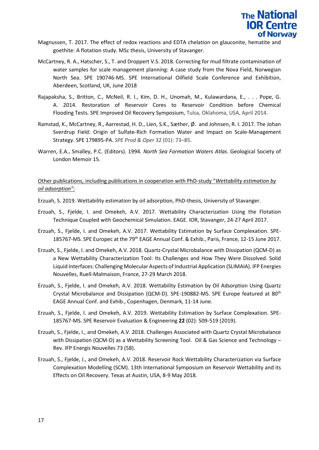

- Magnussen, T. 2017. The effect of redox reactions and EDTA chelation on glauconite, hematite and goethite: A flotation study. MSc thesis, University of Stavanger.
- McCartney, R. A., Hatscher, S., T. and Droppert V.S. 2018. Correcting for mud filtrate contamination of water samples for scale management planning: A case study from the Nova Field, Norwegian North Sea. SPE 190746-MS. SPE International Oilfield Scale Conference and Exhibition, Aberdeen, Scotland, UK, June 2018
- Rajapaksha, S., Britton, C., McNeil, R. I., Kim, D. H., Unomah, M., Kulawardana, E., . . . Pope, G. A. 2014. Restoration of Reservoir Cores to Reservoir Condition before Chemical Flooding Tests*.* SPE Improved Oil Recovery Symposium, Tulsa, Oklahoma, USA, April 2014.
- Ramstad, K., McCartney, R., Aarrestad, H. D., Lien, S.K., Sæther, Ø. and Johnsen, R. I. 2017. The Johan Sverdrup Field: Origin of Sulfate-Rich Formation Water and Impact on Scale-Management Strategy. SPE 179895-PA. *SPE Prod & Oper* 32 (01): 73–85.
- Warren, E.A., Smalley, P.C. (Editors). 1994. *North Sea Formation Waters Atlas*. Geological Society of London Memoir 15.

### Other publications, including publications in cooperation with PhD-study "*Wettability estimation by oil adsorption"*:

- Erzuah, S. 2019. Wettability estimation by oil adsorption, PhD-thesis, University of Stavanger.
- Erzuah, S., Fjelde, I. and Omekeh, A.V. 2017. Wettability Characterization Using the Flotation Technique Coupled with Geochemical Simulation. EAGE. IOR, Stavanger, 24-27 April 2017.
- Erzuah, S., Fjelde, I. and Omekeh, A.V. 2017. Wettability Estimation by Surface Complexation. SPE-185767-MS. SPE Europec at the 79<sup>th</sup> EAGE Annual Conf. & Exhib., Paris, France, 12-15 June 2017.
- Erzuah, S., Fjelde, I. and Omekeh, A.V. 2018. Quartz-Crystal Microbalance with Dissipation (QCM-D) as a New Wettability Characterization Tool: Its Challenges and How They Were Dissolved. Solid Liquid Interfaces: Challenging Molecular Aspects of Industrial Application (SLIMAIA). IFP Energies Nouvelles, Ruell-Malmaison, France, 27-29 March 2018.
- Erzuah, S., Fjelde, I. and Omekeh, A.V. 2018. Wettability Estimation by Oil Adsorption Using Quartz Crystal Microbalance and Dissipation (QCM-D). SPE-190882-MS. SPE Europe featured at 80<sup>th</sup> EAGE Annual Conf. and Exhib., Copenhagen, Denmark, 11-14 June.
- Erzuah, S., Fjelde, I. and Omekeh, A.V. 2019. Wettability Estimation by Surface Complexation. SPE-185767-MS. SPE Reservoir Evaluation & Engineering **22** (02): 509-519 (2019).
- Erzuah, S., Fjelde, I., and Omekeh, A.V. 2018. Challenges Associated with Quartz Crystal Microbalance with Dissipation (QCM-D) as a Wettability Screening Tool. Oil & Gas Science and Technology – Rev. IFP Energis Nouvelles 73 (58).
- Erzuah, S., Fjelde, I., and Omekeh, A.V. 2018. Reservoir Rock Wettability Characterization via Surface Complexation Modelling (SCM). 13th International Symposium on Reservoir Wettability and its Effects on Oil Recovery. Texas at Austin, USA, 8-9 May 2018.